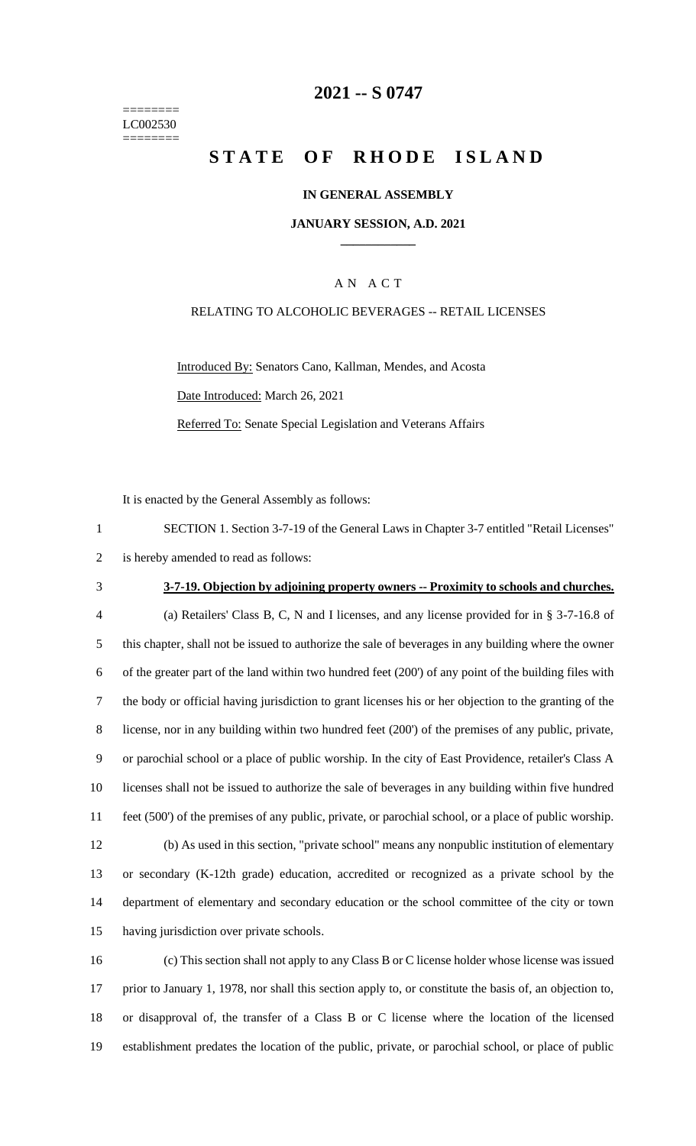======== LC002530 ========

## **-- S 0747**

# **STATE OF RHODE ISLAND**

#### **IN GENERAL ASSEMBLY**

#### **JANUARY SESSION, A.D. 2021 \_\_\_\_\_\_\_\_\_\_\_\_**

### A N A C T

#### RELATING TO ALCOHOLIC BEVERAGES -- RETAIL LICENSES

Introduced By: Senators Cano, Kallman, Mendes, and Acosta Date Introduced: March 26, 2021 Referred To: Senate Special Legislation and Veterans Affairs

It is enacted by the General Assembly as follows:

| SECTION 1. Section 3-7-19 of the General Laws in Chapter 3-7 entitled "Retail Licenses" |
|-----------------------------------------------------------------------------------------|
| 2 is hereby amended to read as follows:                                                 |

#### **3-7-19. Objection by adjoining property owners -- Proximity to schools and churches.**

 (a) Retailers' Class B, C, N and I licenses, and any license provided for in § 3-7-16.8 of this chapter, shall not be issued to authorize the sale of beverages in any building where the owner of the greater part of the land within two hundred feet (200') of any point of the building files with the body or official having jurisdiction to grant licenses his or her objection to the granting of the license, nor in any building within two hundred feet (200') of the premises of any public, private, or parochial school or a place of public worship. In the city of East Providence, retailer's Class A licenses shall not be issued to authorize the sale of beverages in any building within five hundred feet (500') of the premises of any public, private, or parochial school, or a place of public worship. (b) As used in this section, "private school" means any nonpublic institution of elementary or secondary (K-12th grade) education, accredited or recognized as a private school by the department of elementary and secondary education or the school committee of the city or town having jurisdiction over private schools.

 (c) This section shall not apply to any Class B or C license holder whose license was issued prior to January 1, 1978, nor shall this section apply to, or constitute the basis of, an objection to, or disapproval of, the transfer of a Class B or C license where the location of the licensed establishment predates the location of the public, private, or parochial school, or place of public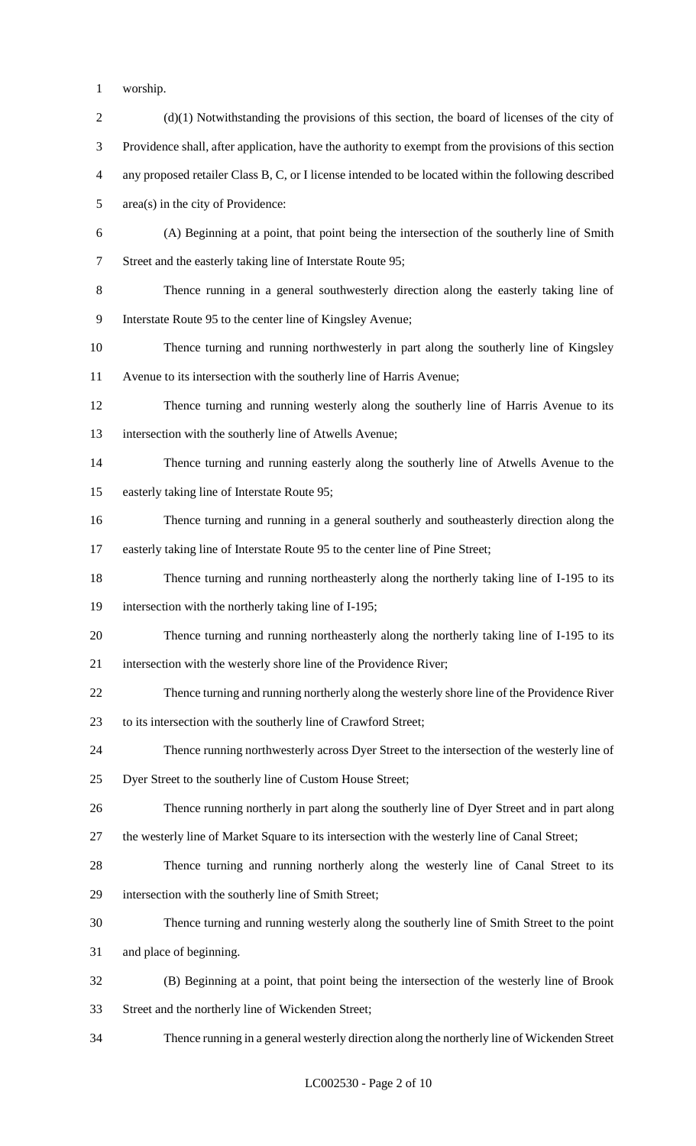- worship.
- 2 (d)(1) Notwithstanding the provisions of this section, the board of licenses of the city of Providence shall, after application, have the authority to exempt from the provisions of this section any proposed retailer Class B, C, or I license intended to be located within the following described area(s) in the city of Providence: (A) Beginning at a point, that point being the intersection of the southerly line of Smith Street and the easterly taking line of Interstate Route 95; Thence running in a general southwesterly direction along the easterly taking line of Interstate Route 95 to the center line of Kingsley Avenue; Thence turning and running northwesterly in part along the southerly line of Kingsley Avenue to its intersection with the southerly line of Harris Avenue; Thence turning and running westerly along the southerly line of Harris Avenue to its intersection with the southerly line of Atwells Avenue; Thence turning and running easterly along the southerly line of Atwells Avenue to the easterly taking line of Interstate Route 95; Thence turning and running in a general southerly and southeasterly direction along the easterly taking line of Interstate Route 95 to the center line of Pine Street; Thence turning and running northeasterly along the northerly taking line of I-195 to its intersection with the northerly taking line of I-195; Thence turning and running northeasterly along the northerly taking line of I-195 to its intersection with the westerly shore line of the Providence River; Thence turning and running northerly along the westerly shore line of the Providence River to its intersection with the southerly line of Crawford Street; Thence running northwesterly across Dyer Street to the intersection of the westerly line of Dyer Street to the southerly line of Custom House Street; Thence running northerly in part along the southerly line of Dyer Street and in part along the westerly line of Market Square to its intersection with the westerly line of Canal Street; Thence turning and running northerly along the westerly line of Canal Street to its intersection with the southerly line of Smith Street; Thence turning and running westerly along the southerly line of Smith Street to the point and place of beginning. (B) Beginning at a point, that point being the intersection of the westerly line of Brook Street and the northerly line of Wickenden Street; Thence running in a general westerly direction along the northerly line of Wickenden Street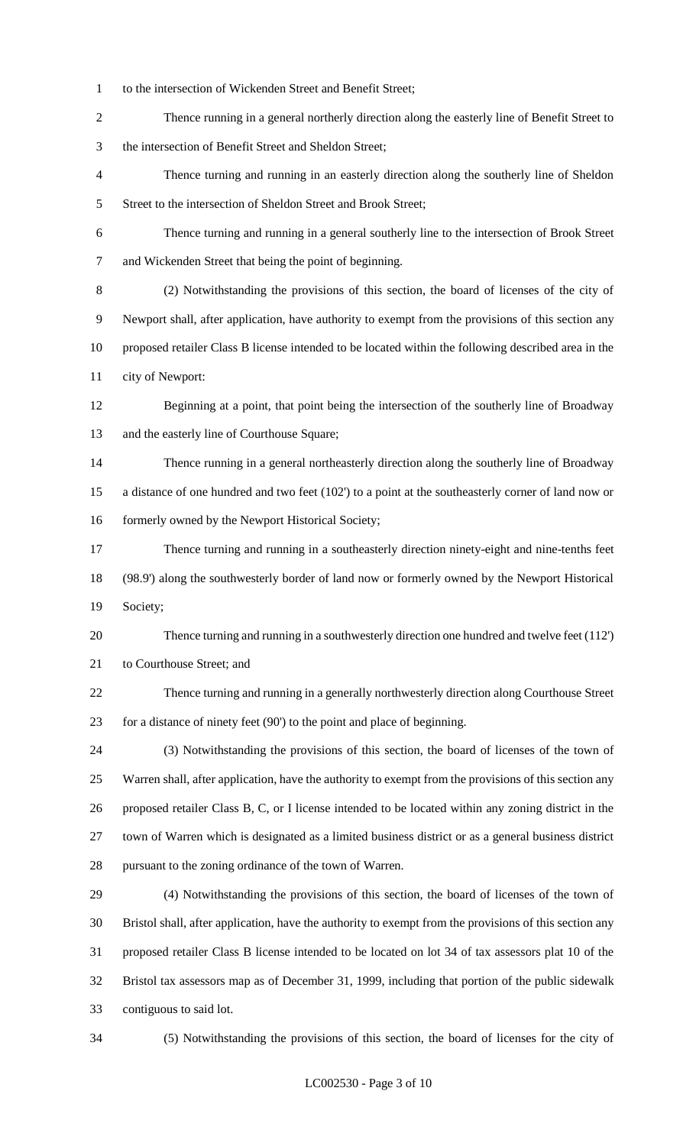- to the intersection of Wickenden Street and Benefit Street;
- Thence running in a general northerly direction along the easterly line of Benefit Street to the intersection of Benefit Street and Sheldon Street;
- Thence turning and running in an easterly direction along the southerly line of Sheldon 5 Street to the intersection of Sheldon Street and Brook Street;
- Thence turning and running in a general southerly line to the intersection of Brook Street and Wickenden Street that being the point of beginning.
- (2) Notwithstanding the provisions of this section, the board of licenses of the city of Newport shall, after application, have authority to exempt from the provisions of this section any proposed retailer Class B license intended to be located within the following described area in the city of Newport:
- Beginning at a point, that point being the intersection of the southerly line of Broadway and the easterly line of Courthouse Square;
- Thence running in a general northeasterly direction along the southerly line of Broadway a distance of one hundred and two feet (102') to a point at the southeasterly corner of land now or 16 formerly owned by the Newport Historical Society;
- Thence turning and running in a southeasterly direction ninety-eight and nine-tenths feet (98.9') along the southwesterly border of land now or formerly owned by the Newport Historical Society;
- Thence turning and running in a southwesterly direction one hundred and twelve feet (112') to Courthouse Street; and
- Thence turning and running in a generally northwesterly direction along Courthouse Street for a distance of ninety feet (90') to the point and place of beginning.
- (3) Notwithstanding the provisions of this section, the board of licenses of the town of Warren shall, after application, have the authority to exempt from the provisions of this section any proposed retailer Class B, C, or I license intended to be located within any zoning district in the town of Warren which is designated as a limited business district or as a general business district pursuant to the zoning ordinance of the town of Warren.
- (4) Notwithstanding the provisions of this section, the board of licenses of the town of Bristol shall, after application, have the authority to exempt from the provisions of this section any proposed retailer Class B license intended to be located on lot 34 of tax assessors plat 10 of the Bristol tax assessors map as of December 31, 1999, including that portion of the public sidewalk contiguous to said lot.
- 

(5) Notwithstanding the provisions of this section, the board of licenses for the city of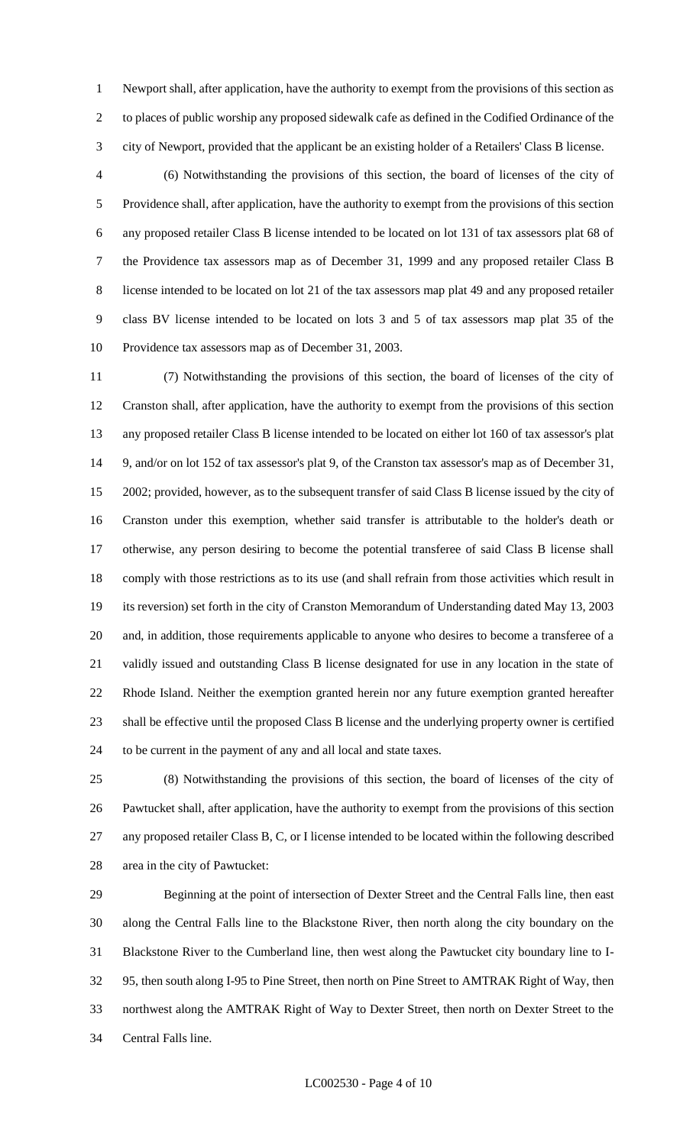Newport shall, after application, have the authority to exempt from the provisions of this section as to places of public worship any proposed sidewalk cafe as defined in the Codified Ordinance of the city of Newport, provided that the applicant be an existing holder of a Retailers' Class B license.

 (6) Notwithstanding the provisions of this section, the board of licenses of the city of Providence shall, after application, have the authority to exempt from the provisions of this section any proposed retailer Class B license intended to be located on lot 131 of tax assessors plat 68 of the Providence tax assessors map as of December 31, 1999 and any proposed retailer Class B license intended to be located on lot 21 of the tax assessors map plat 49 and any proposed retailer class BV license intended to be located on lots 3 and 5 of tax assessors map plat 35 of the Providence tax assessors map as of December 31, 2003.

 (7) Notwithstanding the provisions of this section, the board of licenses of the city of Cranston shall, after application, have the authority to exempt from the provisions of this section any proposed retailer Class B license intended to be located on either lot 160 of tax assessor's plat 9, and/or on lot 152 of tax assessor's plat 9, of the Cranston tax assessor's map as of December 31, 2002; provided, however, as to the subsequent transfer of said Class B license issued by the city of Cranston under this exemption, whether said transfer is attributable to the holder's death or otherwise, any person desiring to become the potential transferee of said Class B license shall comply with those restrictions as to its use (and shall refrain from those activities which result in its reversion) set forth in the city of Cranston Memorandum of Understanding dated May 13, 2003 and, in addition, those requirements applicable to anyone who desires to become a transferee of a validly issued and outstanding Class B license designated for use in any location in the state of Rhode Island. Neither the exemption granted herein nor any future exemption granted hereafter shall be effective until the proposed Class B license and the underlying property owner is certified to be current in the payment of any and all local and state taxes.

 (8) Notwithstanding the provisions of this section, the board of licenses of the city of Pawtucket shall, after application, have the authority to exempt from the provisions of this section any proposed retailer Class B, C, or I license intended to be located within the following described area in the city of Pawtucket:

 Beginning at the point of intersection of Dexter Street and the Central Falls line, then east along the Central Falls line to the Blackstone River, then north along the city boundary on the Blackstone River to the Cumberland line, then west along the Pawtucket city boundary line to I- 95, then south along I-95 to Pine Street, then north on Pine Street to AMTRAK Right of Way, then northwest along the AMTRAK Right of Way to Dexter Street, then north on Dexter Street to the Central Falls line.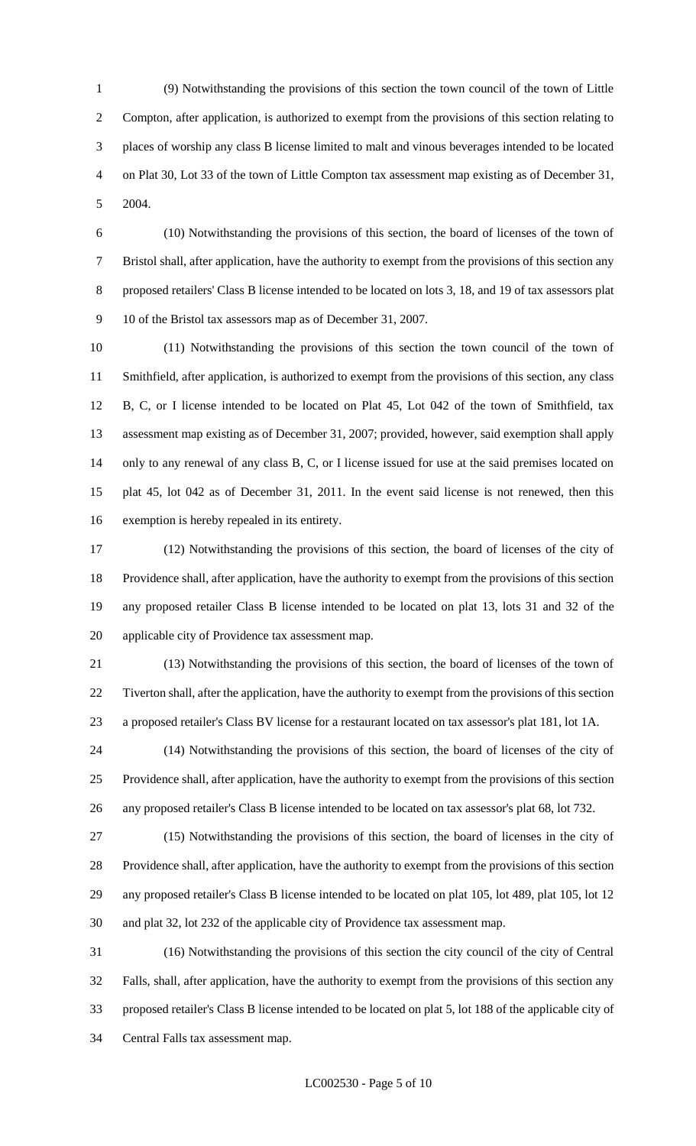(9) Notwithstanding the provisions of this section the town council of the town of Little Compton, after application, is authorized to exempt from the provisions of this section relating to places of worship any class B license limited to malt and vinous beverages intended to be located on Plat 30, Lot 33 of the town of Little Compton tax assessment map existing as of December 31, 2004.

 (10) Notwithstanding the provisions of this section, the board of licenses of the town of Bristol shall, after application, have the authority to exempt from the provisions of this section any proposed retailers' Class B license intended to be located on lots 3, 18, and 19 of tax assessors plat 10 of the Bristol tax assessors map as of December 31, 2007.

 (11) Notwithstanding the provisions of this section the town council of the town of Smithfield, after application, is authorized to exempt from the provisions of this section, any class B, C, or I license intended to be located on Plat 45, Lot 042 of the town of Smithfield, tax assessment map existing as of December 31, 2007; provided, however, said exemption shall apply only to any renewal of any class B, C, or I license issued for use at the said premises located on plat 45, lot 042 as of December 31, 2011. In the event said license is not renewed, then this exemption is hereby repealed in its entirety.

 (12) Notwithstanding the provisions of this section, the board of licenses of the city of Providence shall, after application, have the authority to exempt from the provisions of this section any proposed retailer Class B license intended to be located on plat 13, lots 31 and 32 of the applicable city of Providence tax assessment map.

 (13) Notwithstanding the provisions of this section, the board of licenses of the town of Tiverton shall, after the application, have the authority to exempt from the provisions of this section a proposed retailer's Class BV license for a restaurant located on tax assessor's plat 181, lot 1A.

 (14) Notwithstanding the provisions of this section, the board of licenses of the city of Providence shall, after application, have the authority to exempt from the provisions of this section any proposed retailer's Class B license intended to be located on tax assessor's plat 68, lot 732.

 (15) Notwithstanding the provisions of this section, the board of licenses in the city of Providence shall, after application, have the authority to exempt from the provisions of this section any proposed retailer's Class B license intended to be located on plat 105, lot 489, plat 105, lot 12 and plat 32, lot 232 of the applicable city of Providence tax assessment map.

 (16) Notwithstanding the provisions of this section the city council of the city of Central Falls, shall, after application, have the authority to exempt from the provisions of this section any proposed retailer's Class B license intended to be located on plat 5, lot 188 of the applicable city of Central Falls tax assessment map.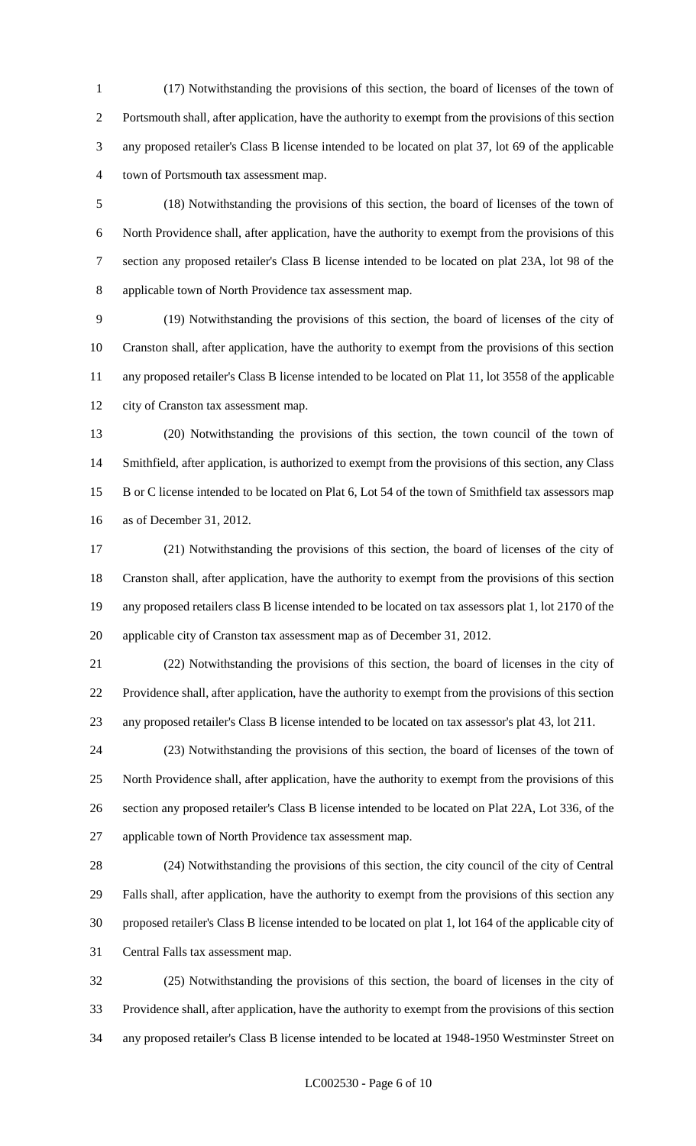(17) Notwithstanding the provisions of this section, the board of licenses of the town of Portsmouth shall, after application, have the authority to exempt from the provisions of this section any proposed retailer's Class B license intended to be located on plat 37, lot 69 of the applicable town of Portsmouth tax assessment map.

 (18) Notwithstanding the provisions of this section, the board of licenses of the town of North Providence shall, after application, have the authority to exempt from the provisions of this section any proposed retailer's Class B license intended to be located on plat 23A, lot 98 of the applicable town of North Providence tax assessment map.

 (19) Notwithstanding the provisions of this section, the board of licenses of the city of Cranston shall, after application, have the authority to exempt from the provisions of this section any proposed retailer's Class B license intended to be located on Plat 11, lot 3558 of the applicable city of Cranston tax assessment map.

 (20) Notwithstanding the provisions of this section, the town council of the town of Smithfield, after application, is authorized to exempt from the provisions of this section, any Class B or C license intended to be located on Plat 6, Lot 54 of the town of Smithfield tax assessors map as of December 31, 2012.

 (21) Notwithstanding the provisions of this section, the board of licenses of the city of Cranston shall, after application, have the authority to exempt from the provisions of this section any proposed retailers class B license intended to be located on tax assessors plat 1, lot 2170 of the applicable city of Cranston tax assessment map as of December 31, 2012.

 (22) Notwithstanding the provisions of this section, the board of licenses in the city of Providence shall, after application, have the authority to exempt from the provisions of this section any proposed retailer's Class B license intended to be located on tax assessor's plat 43, lot 211.

 (23) Notwithstanding the provisions of this section, the board of licenses of the town of North Providence shall, after application, have the authority to exempt from the provisions of this section any proposed retailer's Class B license intended to be located on Plat 22A, Lot 336, of the applicable town of North Providence tax assessment map.

 (24) Notwithstanding the provisions of this section, the city council of the city of Central Falls shall, after application, have the authority to exempt from the provisions of this section any proposed retailer's Class B license intended to be located on plat 1, lot 164 of the applicable city of Central Falls tax assessment map.

 (25) Notwithstanding the provisions of this section, the board of licenses in the city of Providence shall, after application, have the authority to exempt from the provisions of this section any proposed retailer's Class B license intended to be located at 1948-1950 Westminster Street on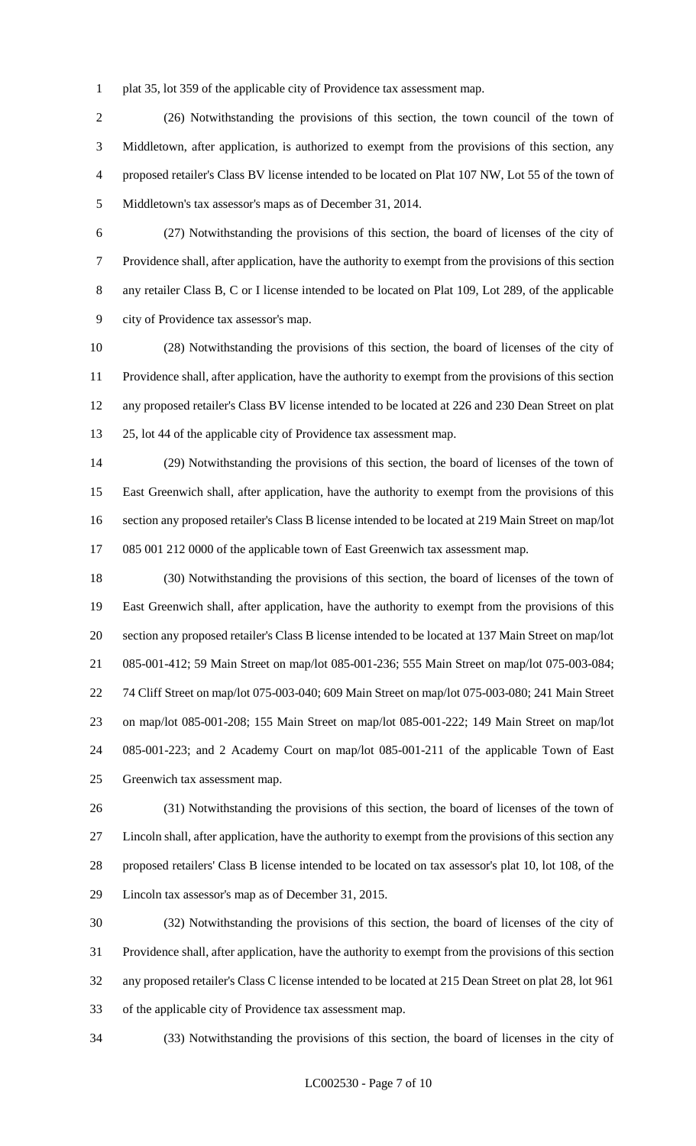plat 35, lot 359 of the applicable city of Providence tax assessment map.

 (26) Notwithstanding the provisions of this section, the town council of the town of Middletown, after application, is authorized to exempt from the provisions of this section, any proposed retailer's Class BV license intended to be located on Plat 107 NW, Lot 55 of the town of Middletown's tax assessor's maps as of December 31, 2014.

 (27) Notwithstanding the provisions of this section, the board of licenses of the city of Providence shall, after application, have the authority to exempt from the provisions of this section any retailer Class B, C or I license intended to be located on Plat 109, Lot 289, of the applicable city of Providence tax assessor's map.

 (28) Notwithstanding the provisions of this section, the board of licenses of the city of Providence shall, after application, have the authority to exempt from the provisions of this section any proposed retailer's Class BV license intended to be located at 226 and 230 Dean Street on plat 25, lot 44 of the applicable city of Providence tax assessment map.

 (29) Notwithstanding the provisions of this section, the board of licenses of the town of East Greenwich shall, after application, have the authority to exempt from the provisions of this section any proposed retailer's Class B license intended to be located at 219 Main Street on map/lot 085 001 212 0000 of the applicable town of East Greenwich tax assessment map.

 (30) Notwithstanding the provisions of this section, the board of licenses of the town of East Greenwich shall, after application, have the authority to exempt from the provisions of this section any proposed retailer's Class B license intended to be located at 137 Main Street on map/lot 085-001-412; 59 Main Street on map/lot 085-001-236; 555 Main Street on map/lot 075-003-084; 74 Cliff Street on map/lot 075-003-040; 609 Main Street on map/lot 075-003-080; 241 Main Street on map/lot 085-001-208; 155 Main Street on map/lot 085-001-222; 149 Main Street on map/lot 085-001-223; and 2 Academy Court on map/lot 085-001-211 of the applicable Town of East Greenwich tax assessment map.

 (31) Notwithstanding the provisions of this section, the board of licenses of the town of Lincoln shall, after application, have the authority to exempt from the provisions of this section any proposed retailers' Class B license intended to be located on tax assessor's plat 10, lot 108, of the Lincoln tax assessor's map as of December 31, 2015.

 (32) Notwithstanding the provisions of this section, the board of licenses of the city of Providence shall, after application, have the authority to exempt from the provisions of this section any proposed retailer's Class C license intended to be located at 215 Dean Street on plat 28, lot 961 of the applicable city of Providence tax assessment map.

(33) Notwithstanding the provisions of this section, the board of licenses in the city of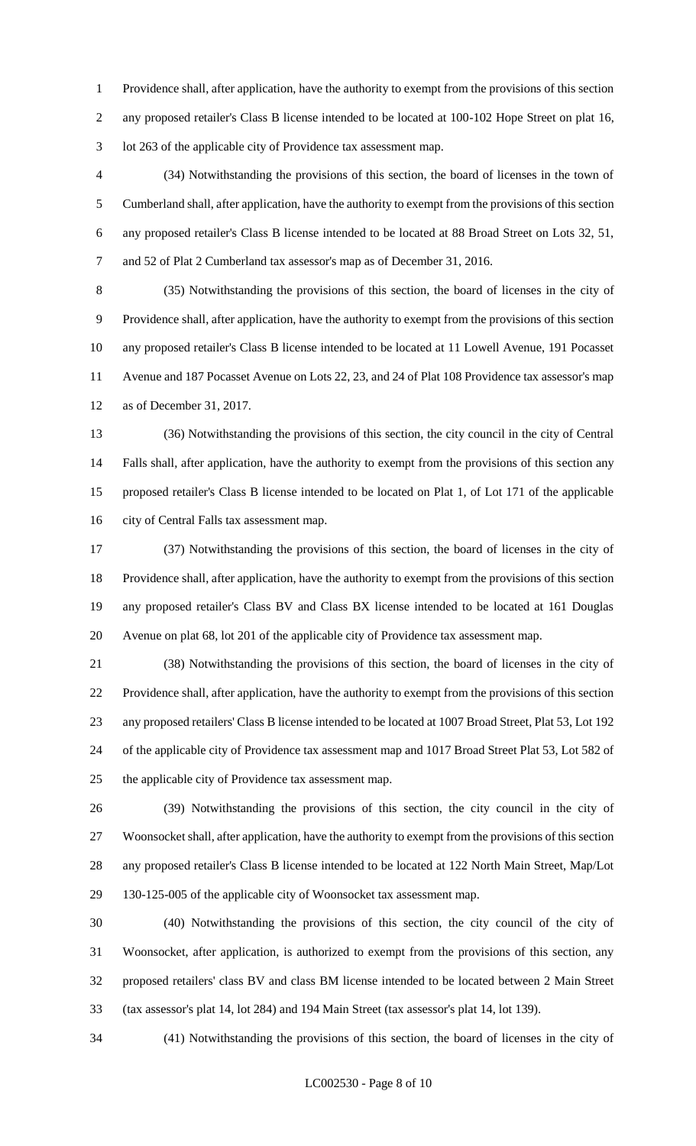Providence shall, after application, have the authority to exempt from the provisions of this section 2 any proposed retailer's Class B license intended to be located at 100-102 Hope Street on plat 16, lot 263 of the applicable city of Providence tax assessment map.

 (34) Notwithstanding the provisions of this section, the board of licenses in the town of Cumberland shall, after application, have the authority to exempt from the provisions of this section any proposed retailer's Class B license intended to be located at 88 Broad Street on Lots 32, 51, and 52 of Plat 2 Cumberland tax assessor's map as of December 31, 2016.

 (35) Notwithstanding the provisions of this section, the board of licenses in the city of Providence shall, after application, have the authority to exempt from the provisions of this section any proposed retailer's Class B license intended to be located at 11 Lowell Avenue, 191 Pocasset Avenue and 187 Pocasset Avenue on Lots 22, 23, and 24 of Plat 108 Providence tax assessor's map as of December 31, 2017.

 (36) Notwithstanding the provisions of this section, the city council in the city of Central Falls shall, after application, have the authority to exempt from the provisions of this section any proposed retailer's Class B license intended to be located on Plat 1, of Lot 171 of the applicable city of Central Falls tax assessment map.

 (37) Notwithstanding the provisions of this section, the board of licenses in the city of Providence shall, after application, have the authority to exempt from the provisions of this section any proposed retailer's Class BV and Class BX license intended to be located at 161 Douglas Avenue on plat 68, lot 201 of the applicable city of Providence tax assessment map.

 (38) Notwithstanding the provisions of this section, the board of licenses in the city of Providence shall, after application, have the authority to exempt from the provisions of this section any proposed retailers' Class B license intended to be located at 1007 Broad Street, Plat 53, Lot 192 of the applicable city of Providence tax assessment map and 1017 Broad Street Plat 53, Lot 582 of the applicable city of Providence tax assessment map.

 (39) Notwithstanding the provisions of this section, the city council in the city of Woonsocket shall, after application, have the authority to exempt from the provisions of this section any proposed retailer's Class B license intended to be located at 122 North Main Street, Map/Lot 130-125-005 of the applicable city of Woonsocket tax assessment map.

 (40) Notwithstanding the provisions of this section, the city council of the city of Woonsocket, after application, is authorized to exempt from the provisions of this section, any proposed retailers' class BV and class BM license intended to be located between 2 Main Street (tax assessor's plat 14, lot 284) and 194 Main Street (tax assessor's plat 14, lot 139).

(41) Notwithstanding the provisions of this section, the board of licenses in the city of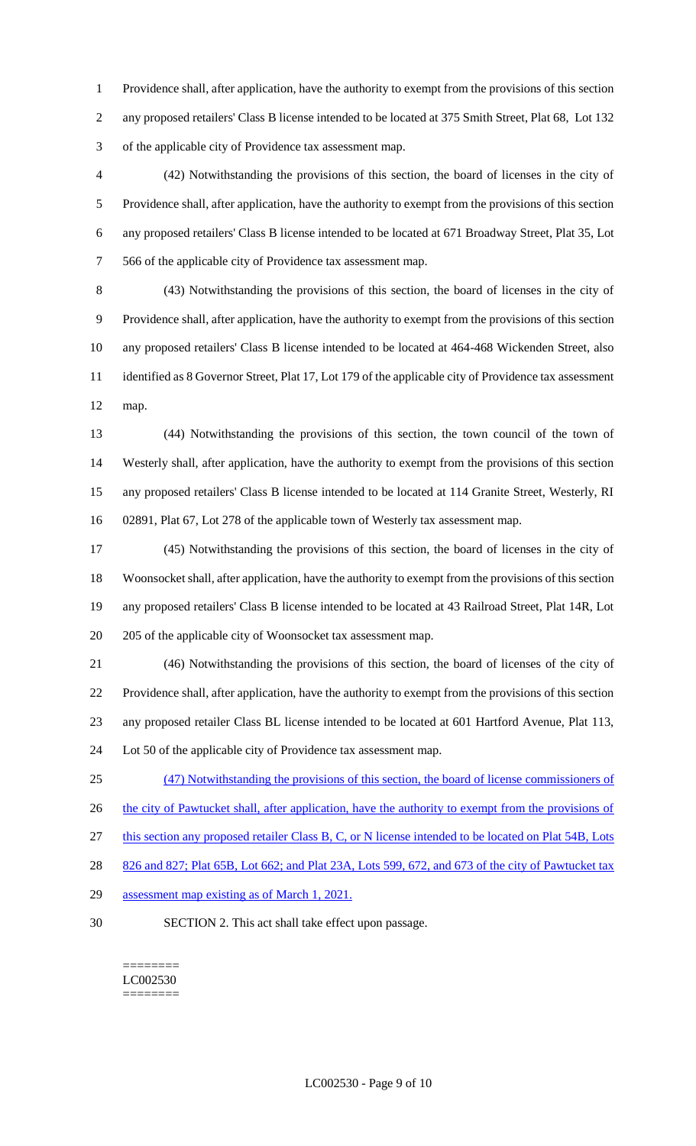Providence shall, after application, have the authority to exempt from the provisions of this section any proposed retailers' Class B license intended to be located at 375 Smith Street, Plat 68, Lot 132 of the applicable city of Providence tax assessment map.

 (42) Notwithstanding the provisions of this section, the board of licenses in the city of Providence shall, after application, have the authority to exempt from the provisions of this section any proposed retailers' Class B license intended to be located at 671 Broadway Street, Plat 35, Lot 566 of the applicable city of Providence tax assessment map.

 (43) Notwithstanding the provisions of this section, the board of licenses in the city of Providence shall, after application, have the authority to exempt from the provisions of this section any proposed retailers' Class B license intended to be located at 464-468 Wickenden Street, also identified as 8 Governor Street, Plat 17, Lot 179 of the applicable city of Providence tax assessment map.

 (44) Notwithstanding the provisions of this section, the town council of the town of Westerly shall, after application, have the authority to exempt from the provisions of this section any proposed retailers' Class B license intended to be located at 114 Granite Street, Westerly, RI 02891, Plat 67, Lot 278 of the applicable town of Westerly tax assessment map.

 (45) Notwithstanding the provisions of this section, the board of licenses in the city of Woonsocket shall, after application, have the authority to exempt from the provisions of this section any proposed retailers' Class B license intended to be located at 43 Railroad Street, Plat 14R, Lot 205 of the applicable city of Woonsocket tax assessment map.

 (46) Notwithstanding the provisions of this section, the board of licenses of the city of Providence shall, after application, have the authority to exempt from the provisions of this section any proposed retailer Class BL license intended to be located at 601 Hartford Avenue, Plat 113, Lot 50 of the applicable city of Providence tax assessment map.

(47) Notwithstanding the provisions of this section, the board of license commissioners of

26 the city of Pawtucket shall, after application, have the authority to exempt from the provisions of

this section any proposed retailer Class B, C, or N license intended to be located on Plat 54B, Lots

28 826 and 827; Plat 65B, Lot 662; and Plat 23A, Lots 599, 672, and 673 of the city of Pawtucket tax

- 29 assessment map existing as of March 1, 2021.
- SECTION 2. This act shall take effect upon passage.

#### ======== LC002530

#### ========